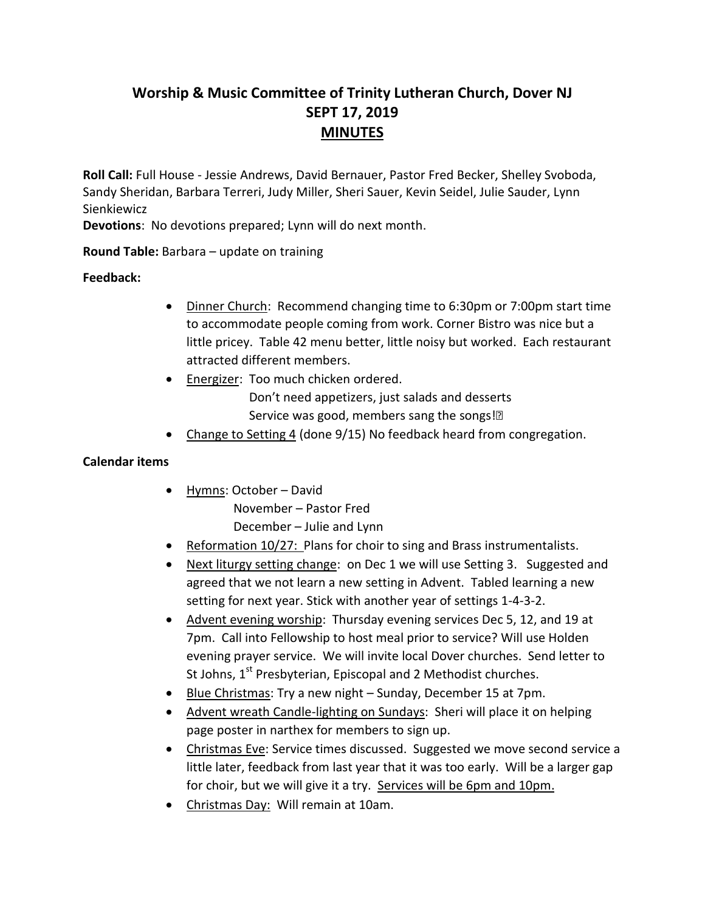# **Worship & Music Committee of Trinity Lutheran Church, Dover NJ SEPT 17, 2019 MINUTES**

**Roll Call:** Full House - Jessie Andrews, David Bernauer, Pastor Fred Becker, Shelley Svoboda, Sandy Sheridan, Barbara Terreri, Judy Miller, Sheri Sauer, Kevin Seidel, Julie Sauder, Lynn Sienkiewicz

**Devotions**: No devotions prepared; Lynn will do next month.

### **Round Table:** Barbara – update on training

### **Feedback:**

- Dinner Church: Recommend changing time to 6:30pm or 7:00pm start time to accommodate people coming from work. Corner Bistro was nice but a little pricey. Table 42 menu better, little noisy but worked. Each restaurant attracted different members.
- Energizer: Too much chicken ordered. Don't need appetizers, just salads and desserts Service was good, members sang the songs!
- Change to Setting 4 (done 9/15) No feedback heard from congregation.

#### **Calendar items**

- Hymns: October David November – Pastor Fred December – Julie and Lynn
- Reformation 10/27: Plans for choir to sing and Brass instrumentalists.
- Next liturgy setting change: on Dec 1 we will use Setting 3. Suggested and agreed that we not learn a new setting in Advent. Tabled learning a new setting for next year. Stick with another year of settings 1-4-3-2.
- Advent evening worship: Thursday evening services Dec 5, 12, and 19 at 7pm. Call into Fellowship to host meal prior to service? Will use Holden evening prayer service. We will invite local Dover churches. Send letter to St Johns, 1<sup>st</sup> Presbyterian, Episcopal and 2 Methodist churches.
- Blue Christmas: Try a new night Sunday, December 15 at 7pm.
- Advent wreath Candle-lighting on Sundays: Sheri will place it on helping page poster in narthex for members to sign up.
- Christmas Eve: Service times discussed. Suggested we move second service a little later, feedback from last year that it was too early. Will be a larger gap for choir, but we will give it a try. Services will be 6pm and 10pm.
- Christmas Day: Will remain at 10am.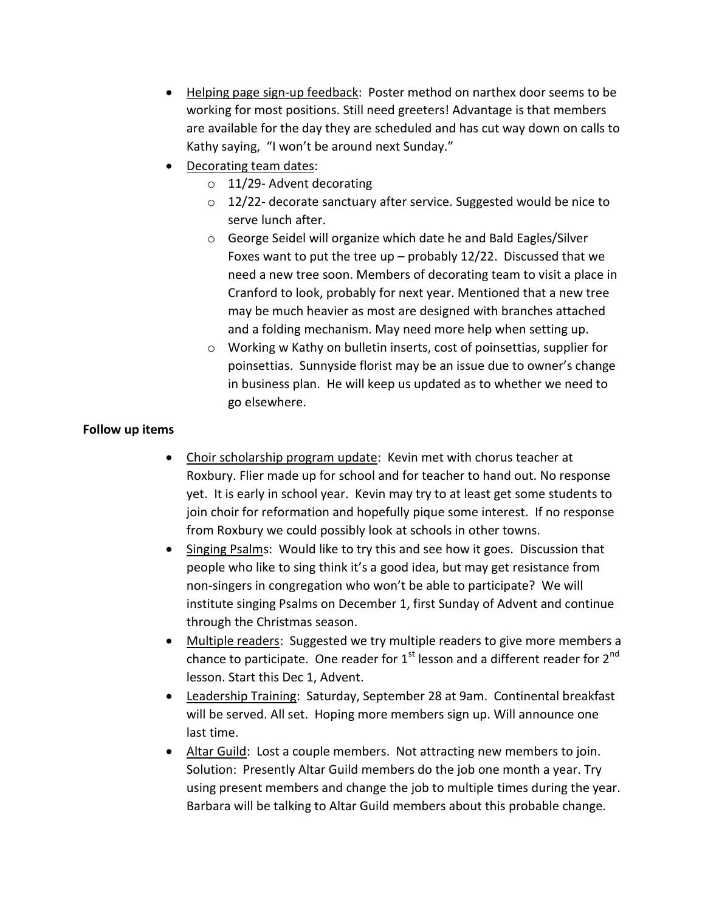- Helping page sign-up feedback: Poster method on narthex door seems to be working for most positions. Still need greeters! Advantage is that members are available for the day they are scheduled and has cut way down on calls to Kathy saying, "I won't be around next Sunday."
- Decorating team dates:
	- o 11/29- Advent decorating
	- o 12/22- decorate sanctuary after service. Suggested would be nice to serve lunch after.
	- o George Seidel will organize which date he and Bald Eagles/Silver Foxes want to put the tree up – probably  $12/22$ . Discussed that we need a new tree soon. Members of decorating team to visit a place in Cranford to look, probably for next year. Mentioned that a new tree may be much heavier as most are designed with branches attached and a folding mechanism. May need more help when setting up.
	- o Working w Kathy on bulletin inserts, cost of poinsettias, supplier for poinsettias. Sunnyside florist may be an issue due to owner's change in business plan. He will keep us updated as to whether we need to go elsewhere.

## **Follow up items**

- Choir scholarship program update: Kevin met with chorus teacher at Roxbury. Flier made up for school and for teacher to hand out. No response yet. It is early in school year. Kevin may try to at least get some students to join choir for reformation and hopefully pique some interest. If no response from Roxbury we could possibly look at schools in other towns.
- Singing Psalms: Would like to try this and see how it goes. Discussion that people who like to sing think it's a good idea, but may get resistance from non-singers in congregation who won't be able to participate? We will institute singing Psalms on December 1, first Sunday of Advent and continue through the Christmas season.
- Multiple readers: Suggested we try multiple readers to give more members a chance to participate. One reader for  $1<sup>st</sup>$  lesson and a different reader for  $2<sup>nd</sup>$ lesson. Start this Dec 1, Advent.
- Leadership Training: Saturday, September 28 at 9am. Continental breakfast will be served. All set. Hoping more members sign up. Will announce one last time.
- Altar Guild: Lost a couple members. Not attracting new members to join. Solution: Presently Altar Guild members do the job one month a year. Try using present members and change the job to multiple times during the year. Barbara will be talking to Altar Guild members about this probable change.